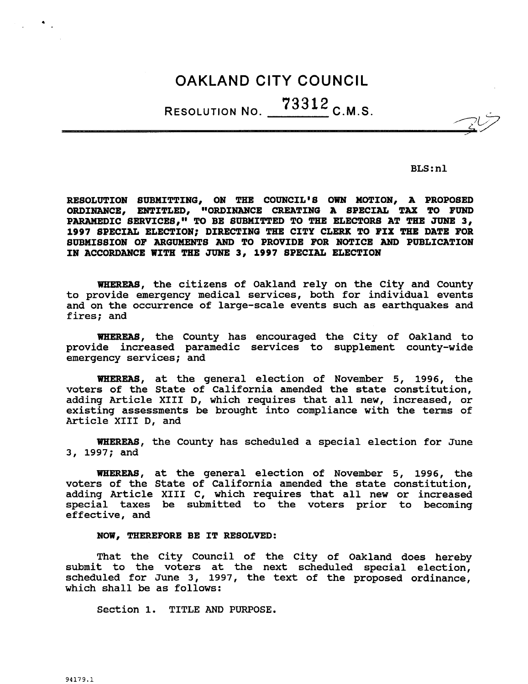# OAKLAND CITY COUNCIL

RESOLUTION NO.  $73312$  C.M.S.

BLS:nl

BLS:nl<br>RESOLUTION SUBMITTING, ON THE COUNCIL'S OWN MOTION, A PROPOSED<br>ORDINANCE, ENTITLED, "ORDINANCE CREATING A SPECIAL TAX TO FUND<br>PARAMEDIC SERVICES." TO BE SUBMITTED TO THE ELECTORS AT THE JUNE 3. ORDINANCE, ENTITLED, "ORDINANCE CREATING A SPECIAL TAX TO FUND PARAMEDIC SERVICES," TO BE SUBMITTED TO THE ELECTORS AT THE JUNE 3, 1997 SPECIAL ELECTION; DIRECTING THE CITY CLERK TO FIX THE DATE FOR SUBMISSION OF ARGUMENTS AND TO PROVIDE FOR NOTICE AND PUBLICATION IN ACCORDANCE WITH THE JUNE 3, 1997 SPECIAL ELECTION

WHEREAS, the citizens of Oakland rely on the City and County whereas, the citizens of baxiand fery on the city and county<br>to provide emergency medical services, both for individual events<br>and on the occurrence of large-scale events such as earthquakes and<br>fixed: and and on the occurrence of large-scale events such as earthquakes and fires; and

WHEREAS, the County has encouraged the City of Oakland to provide increased paramedic services to supplement county-wide emergency services; and

WHEREAS, at the general election of November 5, 1996, the voters of the State of California amended the state constitution adding Article XIII D, which requires that all new, increased, or existing assessments be brought into compliance with the terms of Article XIII D, and

WHEREAS, the County has scheduled a special election for June 3, 1997; and

WHEREAS, at the general election of November 5, 1996, the voters of the State of California amended the state constitution adding Article XIII C, which requires that all new or increased special taxes be submitted to the voters prior to becoming effective, and

## NOW, THEREFORE BE IT RESOLVED:

That the City Council of the City of Oakland does hereby submit to the voters at the next scheduled special election, scheduled for June 3, 1997, the text of the proposed ordinance, which shall be as follows

Section 1. TITLE AND PURPOSE.

 $\bullet$  .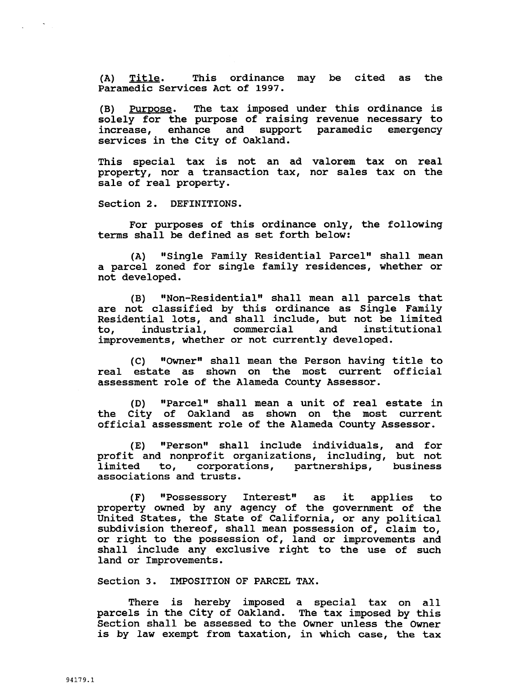(A) Title. This ordinance may be cited as the Paramedic Services Act of 1997

(B) Purpose. The tax imposed under this ordinance is solely for the purpose of raising revenue necessary to increase, enhance and support paramedic emergency services in the City of Oakland

This special tax is not an ad valorem tax on real property, nor a transaction tax, nor sales tax on the sale of real property

Section 2. DEFINITIONS.

For purposes of this ordinance only, the following terms shall be defined as set forth below

(A) "Single Family Residential Parcel" shall mean A parcel zoned for single family residences, whether or<br>
not developed.<br>
(B) "Non-Residential" shall mean all parcels that<br>
are not classified by this ordinance as Single Family not developed

 $(B)$ (B) "Non-Residential" shall mean all parcels that<br>are not classified by this ordinance as Single Family are not classified by this cruinance as single family Residential lots, and shall include, but not be limited<br>to, industrial, commercial and institutional to, industrial, commercial and institutional<br>improvements, whether or not currently developed.

 $(C)$  "Owner" shall mean the Person having title to real estate as shown on the most current official assessment role of the Alameda County Assessor

(D) "Parcel" shall mean a unit of real estate in the City of Oakland as shown on the most current official assessment role of the Alameda County Assessor

(E) "Person" shall include individuals, and for profit and nonprofit organizations, including, but not prorit and nonprorit organizations, including, but not<br>limited to, corporations, partnerships, business limited to, corporations, partnerships,<br>associations and trusts.

(F) "Possessory Interest" as it applies to property owned by any agency of the government of the United States, the State of California, or any political subdivision thereof, shall mean possession of, claim to, or right to the possession of, land or improvements and shall include any exclusive right to the use of such land or Improvements

Section 3. IMPOSITION OF PARCEL TAX.

There is hereby imposed a special tax on all parcels in the City of Oakland. The tax imposed by this Section shall be assessed to the Owner unless the Owner is by law exempt from taxation, in which case, the tax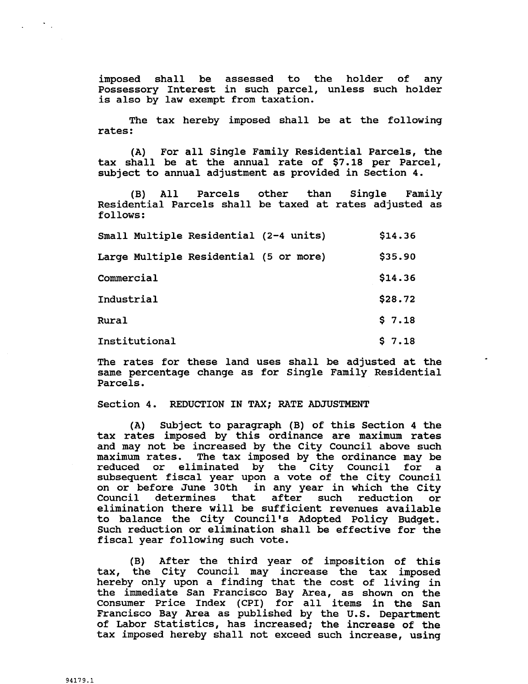imposed shall be assessed to the holder of any Possessory Interest in such parcel, unless such holder is also by law exempt from taxation.

The tax hereby imposed shall be at the following rates

(A) For all Single Family Residential Parcels, the tax shall be at the annual rate of \$7.18 per Parcel, subject to annual adjustment as provided in Section 4

(B) All Parcels other than Single Family Residential Parcels shall be taxed at rates adjusted as follows

| follows:                               |         |
|----------------------------------------|---------|
| Small Multiple Residential (2-4 units) | \$14.36 |
| Large Multiple Residential (5 or more) | \$35.90 |
| Commercial                             | \$14.36 |
| Industrial                             | \$28.72 |
| Rural                                  | \$7.18  |
| Institutional                          | \$7.18  |
|                                        |         |

The rates for these land uses shall be adjusted at the same percentage change as for Single Family Residential Parcels

#### Section 4. REDUCTION IN TAX; RATE ADJUSTMENT

(A) Subject to paragraph (B) of this Section 4 the tax rates imposed by this ordinance are maximum rates and may not be increased by the City Council above such maximum rates. The tax imposed by the ordinance may be The tax imposed by the ordinance may be<br>iminated by the City Council for a reduced or eliminated by the City Council for subsequent fiscal year upon <sup>a</sup> vote of the City Council on or before June 30th in any year in which the City Council determines that after such reduction or Council determines that after such reduction or<br>elimination there will be sufficient revenues available and may not be increased by the<br>maximum rates. The tax imposed<br>reduced or eliminated by th<br>subsequent fiscal year upon a<br>on or before June 30th in any<br>Council determines that aft<br>elimination there will be suff:<br>to balance to balance the City Council's Adopted Policy Budget. Such reduction or elimination shall be effective for the fiscal year following such vote

(B) After the third year of imposition of this tax, the City Council may increase the tax imposed hereby only upon a finding that the cost of living in the immediate San Francisco Bay Area, as shown on the<br>Consumer Price Index (CPI) for all items in the San<br>Francisco Bay Area as published by the U.S. Department<br>of Labor Statistics has increased: the increase of the Consumer Price Index (CPI) for all items in the San<br>Francisco Bay Area as published by the U.S. Department of Labor Statistics, has increased; the increase of the tax imposed hereby shall not exceed such increase, using

 $\mathcal{F}_{\mathcal{A},\mathcal{C}}$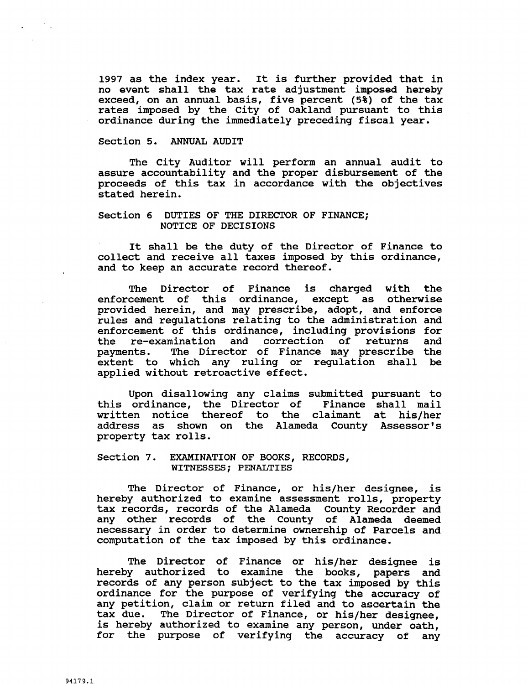1997 as the index year. It is further provided that in 1997 as the index year. It is further provided that in<br>no event shall the tax rate adjustment imposed hereby<br>exceed, on an annual basis, five percent (5%) of the tax<br>rates imposed by the City of Oakland pursuant to this exceed, on an annual basis, five percent  $(5*)$  of the tax rates imposed by the City of Oakland pursuant to this ordinance during the immediately preceding fiscal year

## Section 5. ANNUAL AUDIT

The City Auditor will perform an annual audit to assure accountability and the proper disbursement of the proceeds of this tax in accordance with the objectives stated herein

## Section 6 DUTIES OF THE DIRECTOR OF FINANCE; NOTICE OF DECISIONS

It shall be the duty of the Director of Finance to collect and receive all taxes imposed by this ordinance and to keep an accurate record thereof

The Director of Finance is charged with the enforcement of this ordinance, except as otherwise provided herein, and may prescribe, adopt, and enforce rules and regulations relating to the administration and enforcement of this ordinance, including provisions for<br>the re-examination and correction of returns and The Director of Finance is charged with the<br>enforcement of this ordinance, except as otherwise<br>provided herein, and may prescribe, adopt, and enforce<br>rules and regulations relating to the administration and<br>enforcement of payments. The Director of Finance may prescribe the extent to which any ruling or regulation shall be applied without retroactive effect diations relating to the administration and<br>of this ordinance, including provisions for<br>nation and correction of returns and<br>he Director of Finance may prescribe the<br>hich any ruling or regulation shall be<br>ut retroactive ef

Upon disallowing any claims submitted pursuant to ordinance, the Director of Finance shall mail this ordinance, the Director of written notice thereof to the claimant at his/her address as shown<br>property tax-rolls. address as

## Section 7. EXAMINATION OF BOOKS, RECORDS, WITNESSES; PENALTIES

The Director of Finance, or his/her designee, is hereby authorized to examine assessment rolls, property tax records, records of the Alameda County Recorder and any other records of the County of Alameda deemed necessary in order to determine ownership of Parcels and computation of the tax imposed by this ordinance

The Director of Finance or his/her designee is hereby authorized to examine the books, papers and records of any person subject to the tax imposed by this ordinance for the purpose of verifying the accuracy of any petition, claim or return filed and to ascertain the tax due. The Director of Finance, or his/her designee. The Director of Finance, or his/her designee, is hereby authorized to examine any person, under oath, for the purpose of verifying the accuracy of any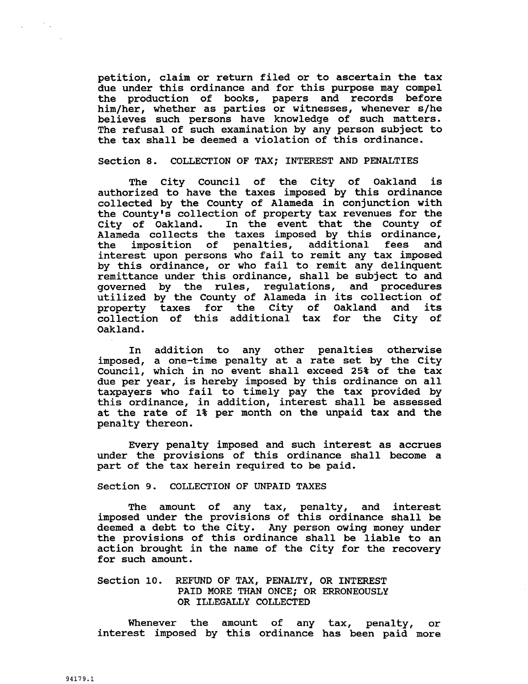petition, claim or return filed or to ascertain the tax<br>due under this ordinance and for this purpose may compel<br>the production of books, papers and records before<br>him/her, whether as parties or witnesses, whenever s/he<br>be due under this ordinance and for this purpose may compel the production of books, papers and records before<br>him/her, whether as parties or witnesses, whenever s/he believes such persons have knowledge of such matters The refusal of such examination by any person subject to the tax shall be deemed a violation of this ordinance

# Section 8. COLLECTION OF TAX; INTEREST AND PENALTIES

The City Council of the City of Oakland is authorized to have the taxes imposed by this ordinance collected by the County of Alameda in conjunction with Section 8.<br>The Ci<br>authorized t<br>collected by<br>the County's<br>City of Oal<br>Alameda col collection of property tax revenues for the City of Oakland. In the event that the County of Alameda collects the taxes imposed by this ordinance,<br>the imposition of penalties, additional fees and imposition of penalties, additional fees interest upon persons who fail to remit any tax imposed by this ordinance, or who fail to remit any delinquent remittance under this ordinance, shall be subject to and governed by the rules, regulations, and procedures governed by the rules, regulations, and procedures<br>utilized by the County of Alameda in its collection of property taxes for the City of Oakland and its collection of this additional tax for the City of Oakland

In addition to any other penalties otherwise imposed, a one-time penalty at a rate set by the City Council, which in no event shall exceed 25% of the tax due per year, is hereby imposed by this ordinance on all que per year, is nereby imposed by this ordinance on all<br>taxpayers who fail to timely pay the tax provided by this ordinance, in addition, interest shall be assessed at the rate of 1% per month on the unpaid tax and the penalty thereon

Every penalty imposed and such interest as accrues under the provisions of this ordinance shall become <sup>a</sup> part of the tax herein required to be paid

Section 9. COLLECTION OF UNPAID TAXES

The amount of any tax, penalty, and interest imposed under the provisions of this ordinance shall be deemed a debt to the City. Any person owing money under the provisions of this ordinance shall be liable to an action brought in the name of the City for the recovery for such amount

# Section 10. REFUND OF TAX, PENALTY, OR INTEREST PAID MORE THAN ONCE: OR ERRONEOUSLY OR ILLEGALLY COLLECTED

Whenever the amount of any tax, penalty, or interest imposed by this ordinance has been paid more

 $\mathcal{O}(\mathbb{Z})$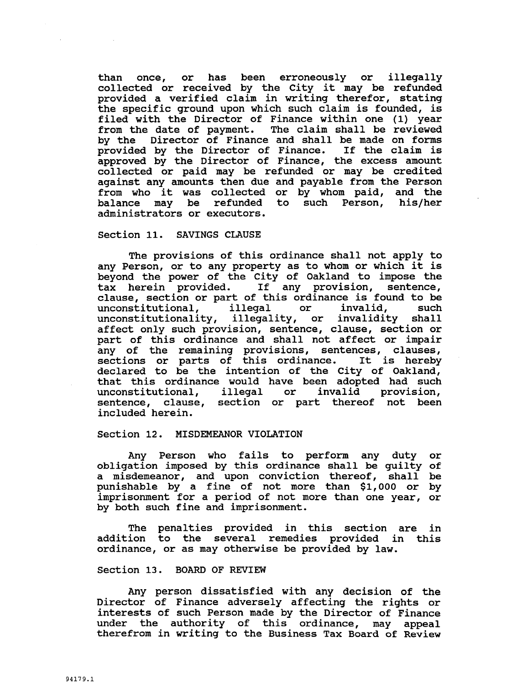than once, or has been erroneously or illegally collected or received by the City it may be refunded provided a verified claim in writing therefor, stating the specific ground upon which such claim is founded, is filed with the Director of Finance within one (1) year from the date of payment. The claim shall be reviewed by the Director of Finance and shall be made on forms by the Director of Finance and shall be made on forms<br>provided by the Director of Finance. If the claim is approved by the Director of Finance. The excess amount collected or paid may be refunded or may be credited against any amounts then due and payable from the Person against any amounts then due and payable from the Person<br>from who it was collected or by whom paid, and the<br>balance may be refunded to such Person, his/her<br>administrators or executors balance may be refunded to such Person, his/her administrators or executors.

## Section 11. SAVINGS CLAUSE

The provisions of this ordinance shall not apply to any Person, or to any property as to whom or which it is beyond the power of the City of Oakland to impose the tax herein provided. If any provision, sentence, tax herein provided. It any provision, sentence,<br>clause, section or part of this ordinance is found to be unconstitutional, illegal or invalid, such unconstitutional, illegal or invalid, such<br>unconstitutionality, illegality, or invalidity shall affect only such provision, sentence, clause, section or part of this ordinance and shall not affect or impair part of the remaining provisions, sentences, clauses,<br>sections or parts of this ordinance. It is hereby declared to be the intention of the City of Oakland, that this ordinance would have been adopted had such unconstitutional, illegal or invalid provision, sentence, clause, section or part thereof not been included herein

## Section 12. MISDEMEANOR VIOLATION

Any Person who fails to perform any duty or obligation imposed by this ordinance shall be guilty of a misdemeanor, and upon conviction thereof, shall be punishable by a fine of not more than \$1,000 or by Any Person who fails to perform any duty or<br>obligation imposed by this ordinance shall be guilty of<br>a misdemeanor, and upon conviction thereof, shall be<br>punishable by a fine of not more than \$1,000 or by<br>imprisonment for a imprisonment for a period of not more than one year, or by both such fine and imprisonment

The penalties provided in this section are in addition to the several remedies provided in this ordinance, or as may otherwise be provided by law.

#### Section 13. BOARD OF REVIEW

Any person dissatisfied with any decision of the Director of Finance adversely affecting the rights or interests of such Person made by the Director of Finance under the authority of this ordinance, may appeal therefrom in writing to the Business Tax Board of Review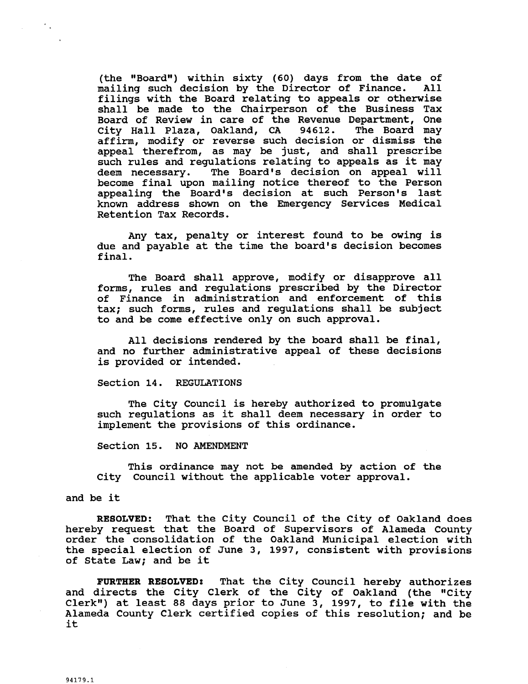(the "Board") within sixty (60) days from the date of<br>mailing such decision by the Director of Finance. All mailing such decision by the Director of Finance. filings with the Board relating to appeals or otherwise shall be made to the Chairperson of the Business Tax Board of Review in care of the Revenue Department, One City Hall Plaza, Oakland, CA 94612. The Board may efter main fiaza, cartaina, ex section or dismiss the affirm, modify or reverse such decision or dismiss the appeal therefrom, as may be just, and shall prescribe such rules and regulations relating to appeals as it may<br>deem necessary. The Board's decision on appeal will shall be made to the Chairperson of the Business Tax<br>Board of Review in care of the Revenue Department, One<br>City Hall Plaza, Oakland, CA 94612. The Board may<br>affirm, modify or reverse such decision or dismiss the<br>appeal th deem necessary. The Board's decision on appear will<br>become final upon mailing notice thereof to the Person<br>appealing the Board's decision at such Person's last<br>known address shown on the Emergency Services Medical<br>Retentio shart be made to the that person of the basiness fax<br>Board of Review in care of the Revenue Department, One<br>City Hall Plaza, Oakland, CA 94612. The Board may<br>affirm, modify or reverse such decision or dismiss the<br>appeal th appealing the Board's decision at such Person's last<br>known address shown on the Emergency Services Medical Retention Tax Records

Any tax, penalty or interest found to be owing is due and payable at the time the board's decision becomes final

The Board shall approve, modify or disapprove all forms, rules and regulations prescribed by the Director of Finance in administration and enforcement of this tax; such forms, rules and regulations shall be subject to and be come effective only on such approval

All decisions rendered by the board shall be final, and no further administrative appeal of these decisions is provided or intended

## Section 14. REGULATIONS

The City Council is hereby authorized to promulgate such regulations as it shall deem necessary in order to implement the provisions of this ordinance.

Section 15. NO AMENDMENT

This ordinance may not be amended by action of the City Council without the applicable voter approval.

and be it

 $\sim$ 

RESOLVED: That the City Council of the City of Oakland does hereby request that the Board of Supervisors of Alameda County order the consolidation of the Oakland Municipal election with the special election of June 3, 1997, consistent with provisions of State Law; and be it

FURTHER RESOLVED: That the City Council hereby authorizes FUNTIER RESOLVED: THAT THE CITY COUNCIL HETEDY AUTHOFIZES<br>and directs the City Clerk of the City of Oakland (the "City and directs the City Clerk or the City or Oakland (the "City<br>Clerk") at least 88 days prior to June 3, 1997, to file with the Alameda County Clerk certified copies of this resolution; and be it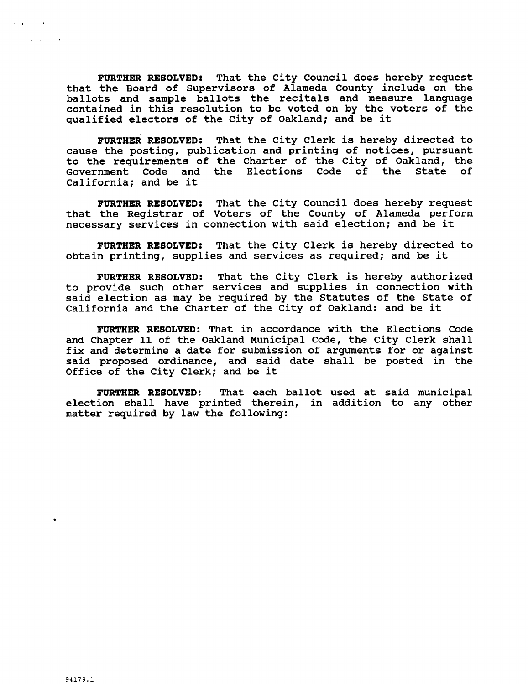FURTHER RESOLVED: That the City Council does hereby request that the Board of Supervisors of Alameda County include on the ballots and sample ballots the recitals and measure language contained in this resolution to be voted on by the voters of the qualified electors of the City of Oakland; and be it

FURTHER RESOLVED: That the City Clerk is hereby directed to cause the posting, publication and printing of notices, pursuant to the requirements of the Charter of the City of Oakland, the<br>Government Code and the Elections Code of the State of Government Code and the Elections Code of the State California; and be it

FURTHER RESOLVED: That the City Council does hereby request that the Registrar of Voters of the County of Alameda perform necessary services in connection with said election; and be it

FURTHER RESOLVED: That the City Clerk is hereby directed to obtain printing, supplies and services as required; and be it

FURTHER RESOLVED: That the City Clerk is hereby authorized to provide such other services and supplies in connection with said election as may be required by the Statutes of the State of California and the Charter of the City of Oakland: and be it

FURTHER RESOLVED: That in accordance with the Elections Code and Chapter 11 of the Oakland Municipal Code, the City Clerk shall fix and determine a date for submission of arguments for or against In the accernance a date for Bubanishing of arguments for or against<br>said proposed ordinance, and said date shall be posted in the<br>Office of the City Clerk; and be it

FURTHER RESOLVED: That each ballot used at said municipal election shall have printed therein, in addition to any other matter required by law the following

 $\mathcal{A}=\mathcal{A}$  .

 $\mathcal{L}_{\text{max}}$  and  $\mathcal{L}_{\text{max}}$